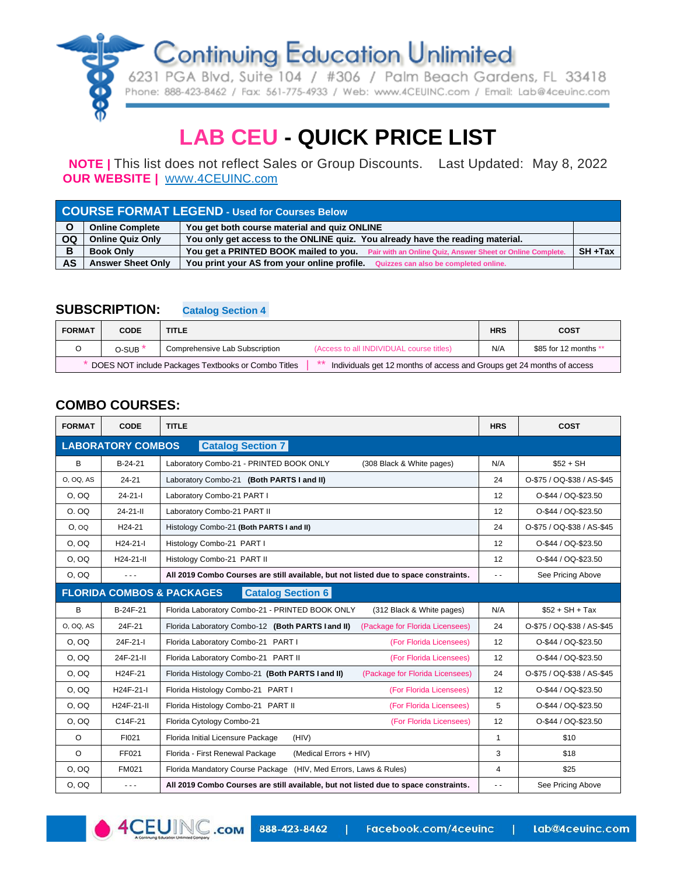

6231 PGA Blvd, Suite 104 / #306 / Palm Beach Gardens, FL 33418 Phone: 888-423-8462 / Fax: 561-775-4933 / Web: www.4CEUINC.com / Email: Lab@4ceuinc.com

# **LAB CEU - QUICK PRICE LIST**

**NOTE |** This list does not reflect Sales or Group Discounts. Last Updated: May 8, 2022  **OUR WEBSITE |** [WWW](http://www.4ceuinc.com/).4[CEUINC.com](http://www.4ceuinc.com/)

| <b>COURSE FORMAT LEGEND - Used for Courses Below</b> |                          |                                                                                                  |            |  |  |  |  |
|------------------------------------------------------|--------------------------|--------------------------------------------------------------------------------------------------|------------|--|--|--|--|
|                                                      | <b>Online Complete</b>   | You get both course material and quiz ONLINE                                                     |            |  |  |  |  |
| <b>OQ</b>                                            | <b>Online Quiz Only</b>  | You only get access to the ONLINE guiz. You already have the reading material.                   |            |  |  |  |  |
| в                                                    | <b>Book Only</b>         | You get a PRINTED BOOK mailed to you. Pair with an Online Quiz, Answer Sheet or Online Complete. | $SH + Tax$ |  |  |  |  |
| <b>AS</b>                                            | <b>Answer Sheet Only</b> | You print your AS from your online profile. Quizzes can also be completed online.                |            |  |  |  |  |

#### **SUBSCRIPTION: Catalog Section 4.**

| <b>FORMAT</b>                                                                                                                    | <b>CODE</b>        | <b>TITLE</b>                   |                                          | <b>HRS</b> | <b>COST</b>           |  |
|----------------------------------------------------------------------------------------------------------------------------------|--------------------|--------------------------------|------------------------------------------|------------|-----------------------|--|
|                                                                                                                                  | O-SUB <sup>*</sup> | Comprehensive Lab Subscription | (Access to all INDIVIDUAL course titles) | N/A        | \$85 for 12 months ** |  |
| ** Individuals get 12 months of access and Groups get 24 months of access<br>DOES NOT include Packages Textbooks or Combo Titles |                    |                                |                                          |            |                       |  |

### **COMBO COURSES:**

| <b>FORMAT</b>                                        | <b>CODE</b>          | <b>TITLE</b>                                                                         | <b>HRS</b>    | <b>COST</b>                |  |  |  |
|------------------------------------------------------|----------------------|--------------------------------------------------------------------------------------|---------------|----------------------------|--|--|--|
| <b>LABORATORY COMBOS</b><br><b>Catalog Section 7</b> |                      |                                                                                      |               |                            |  |  |  |
| В                                                    | $B-24-21$            | Laboratory Combo-21 - PRINTED BOOK ONLY<br>(308 Black & White pages)                 | N/A           | $$52 + SH$                 |  |  |  |
| 0, 00, AS                                            | $24 - 21$            | Laboratory Combo-21 (Both PARTS I and II)                                            | 24            | O-\$75 / OQ-\$38 / AS-\$45 |  |  |  |
| O, OQ                                                | $24 - 21 - 1$        | Laboratory Combo-21 PART I                                                           | 12            | O-\$44 / OQ-\$23.50        |  |  |  |
| O. OQ                                                | $24 - 21 - 11$       | Laboratory Combo-21 PART II                                                          | 12            | O-\$44 / OQ-\$23.50        |  |  |  |
| O, OQ                                                | H <sub>24</sub> -21  | Histology Combo-21 (Both PARTS I and II)                                             | 24            | O-\$75 / OQ-\$38 / AS-\$45 |  |  |  |
| O, OO                                                | $H24-21-I$           | Histology Combo-21 PART I                                                            | 12            | O-\$44 / OQ-\$23.50        |  |  |  |
| O, OQ                                                | $H24-21-II$          | Histology Combo-21 PART II                                                           | 12            | O-\$44 / OQ-\$23.50        |  |  |  |
| O, OQ                                                | $\sim$ $\sim$ $\sim$ | All 2019 Combo Courses are still available, but not listed due to space constraints. | $\sim$ $\sim$ | See Pricing Above          |  |  |  |
|                                                      |                      | <b>Catalog Section 6</b><br><b>FLORIDA COMBOS &amp; PACKAGES</b>                     |               |                            |  |  |  |
| B                                                    | B-24F-21             | Florida Laboratory Combo-21 - PRINTED BOOK ONLY<br>(312 Black & White pages)         | N/A           | $$52 + SH + Tax$           |  |  |  |
| 0, 0Q, AS                                            | 24F-21               | Florida Laboratory Combo-12 (Both PARTS land II)<br>(Package for Florida Licensees)  | 24            | O-\$75 / OQ-\$38 / AS-\$45 |  |  |  |
| O, OO                                                | 24F-21-I             | Florida Laboratory Combo-21 PART I<br>(For Florida Licensees)                        | 12            | O-\$44 / OQ-\$23.50        |  |  |  |
| O, OO                                                | 24F-21-II            | Florida Laboratory Combo-21 PART II<br>(For Florida Licensees)                       | 12            | O-\$44 / OQ-\$23.50        |  |  |  |
| O, OQ                                                | H24F-21              | Florida Histology Combo-21 (Both PARTS I and II)<br>(Package for Florida Licensees)  | 24            | O-\$75 / OQ-\$38 / AS-\$45 |  |  |  |
| O, OQ                                                | H24F-21-I            | Florida Histology Combo-21 PART I<br>(For Florida Licensees)                         | 12            | O-\$44 / OQ-\$23.50        |  |  |  |
| O, OO                                                | H24F-21-II           | Florida Histology Combo-21 PART II<br>(For Florida Licensees)                        | 5             | O-\$44 / OQ-\$23.50        |  |  |  |
| O, OQ                                                | C14F-21              | (For Florida Licensees)<br>Florida Cytology Combo-21                                 | 12            | O-\$44 / OQ-\$23.50        |  |  |  |
| $\circ$                                              | FI021                | Florida Initial Licensure Package<br>(HIV)                                           | $\mathbf{1}$  | \$10                       |  |  |  |
| $\Omega$                                             | FF021                | Florida - First Renewal Package<br>(Medical Errors + HIV)                            | 3             | \$18                       |  |  |  |
| O, OO                                                | FM021                | Florida Mandatory Course Package (HIV, Med Errors, Laws & Rules)                     | 4             | \$25                       |  |  |  |
| O, OQ                                                | $  -$                | All 2019 Combo Courses are still available, but not listed due to space constraints. | $\sim$ $\sim$ | See Pricing Above          |  |  |  |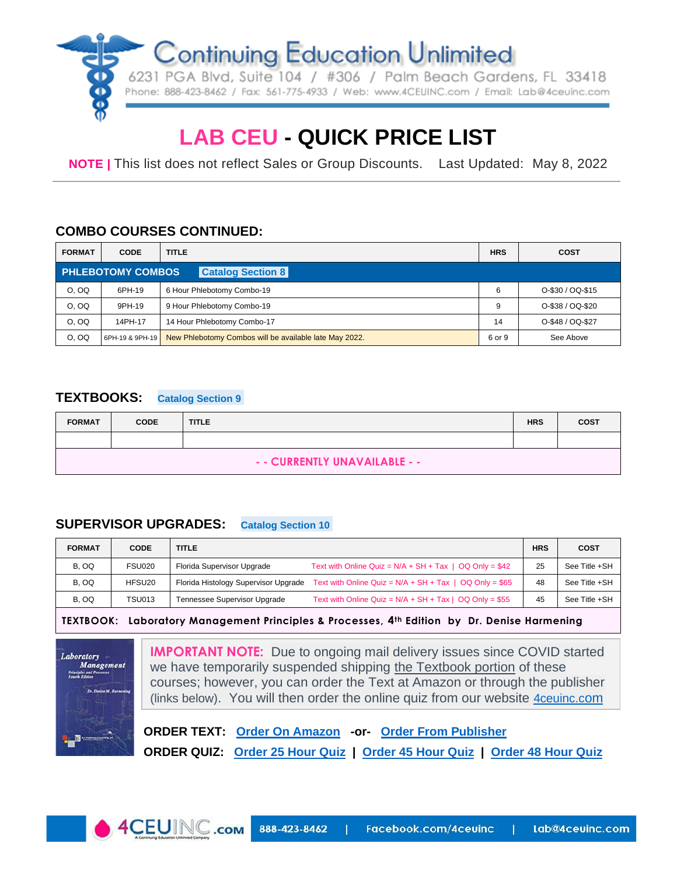

# **LAB CEU - QUICK PRICE LIST**

**NOTE |** This list does not reflect Sales or Group Discounts. Last Updated: May 8, 2022

### **COMBO COURSES CONTINUED:**

| <b>FORMAT</b> | <b>CODE</b>              | <b>TITLE</b>                                           | <b>HRS</b> | <b>COST</b>      |
|---------------|--------------------------|--------------------------------------------------------|------------|------------------|
|               | <b>PHLEBOTOMY COMBOS</b> | <b>Catalog Section 8</b>                               |            |                  |
| O. OQ         | 6PH-19                   | 6 Hour Phlebotomy Combo-19                             | 6          | O-\$30 / OQ-\$15 |
| O. OQ         | 9PH-19                   | 9 Hour Phlebotomy Combo-19                             | 9          | O-\$38 / OQ-\$20 |
| O, OO         | 14PH-17                  | 14 Hour Phlebotomy Combo-17                            | 14         | O-\$48 / OQ-\$27 |
| O. OQ         | 6PH-19 & 9PH-19          | New Phlebotomy Combos will be available late May 2022. | 6 or 9     | See Above        |

### **TEXTBOOKS: Catalog Section 9.**

| <b>FORMAT</b>                 | <b>CODE</b> | <b>TITLE</b> | <b>HRS</b> | <b>COST</b> |  |  |
|-------------------------------|-------------|--------------|------------|-------------|--|--|
|                               |             |              |            |             |  |  |
| - - CURRENTLY UNAVAILABLE - - |             |              |            |             |  |  |

### **SUPERVISOR UPGRADES: Catalog Section 10.**

| <b>FORMAT</b> | <b>CODE</b>        | <b>TITLE</b>                         |                                                             | <b>HRS</b> | <b>COST</b>   |
|---------------|--------------------|--------------------------------------|-------------------------------------------------------------|------------|---------------|
| B, OQ         | <b>FSU020</b>      | Florida Supervisor Upgrade           | Text with Online Quiz = $N/A$ + SH + Tax   OQ Only = \$42   | 25         | See Title +SH |
| B, OQ         | HFSU <sub>20</sub> | Florida Histology Supervisor Upgrade | Text with Online Quiz = $N/A$ + SH + Tax   OQ Only = \$65   | 48         | See Title +SH |
| B, OQ         | <b>TSU013</b>      | Tennessee Supervisor Upgrade         | Text with Online Quiz = $N/A$ + $SH$ + Tax   OQ Only = \$55 | 45         | See Title +SH |

**TEXTBOOK: Laboratory Management Principles & Processes, 4th Edition by Dr. Denise Harmening**



**IMPORTANT NOTE:** Due to ongoing mail delivery issues since COVID started we have temporarily suspended shipping the Textbook portion of these courses; however, you can order the Text at Amazon or through the publisher (links below). You will then order the online quiz fr[om](http://www.4ceuinc.com/) our website **4 ceuning com** 

 **ORDER TEXT: [Order On Amazon](https://www.amazon.com/Laboratory-Management-Principles-Processes-Fourth/dp/0943903181/ref=sr_1_2?dchild=1&keywords=Dr.+Denise+Harmening&qid=1631462572&s=books&sr=1-2) -or- [Order From](https://dhbookpublishing.com/product/laboratory-management-principles-and-processes-4th-edition/) Publisher ORDER QUIZ: [Order 25 Hour Quiz](https://4ceuinc.com/ce/course/fl-supervisor-upgrade) | Order 45 [Hour Quiz](https://www.4ceuinc.com/course-details.asp?CourseId=756) | [Order 48 Hour Quiz](https://4ceuinc.com/ce/course/fl-histology-supervisor-upgrade)**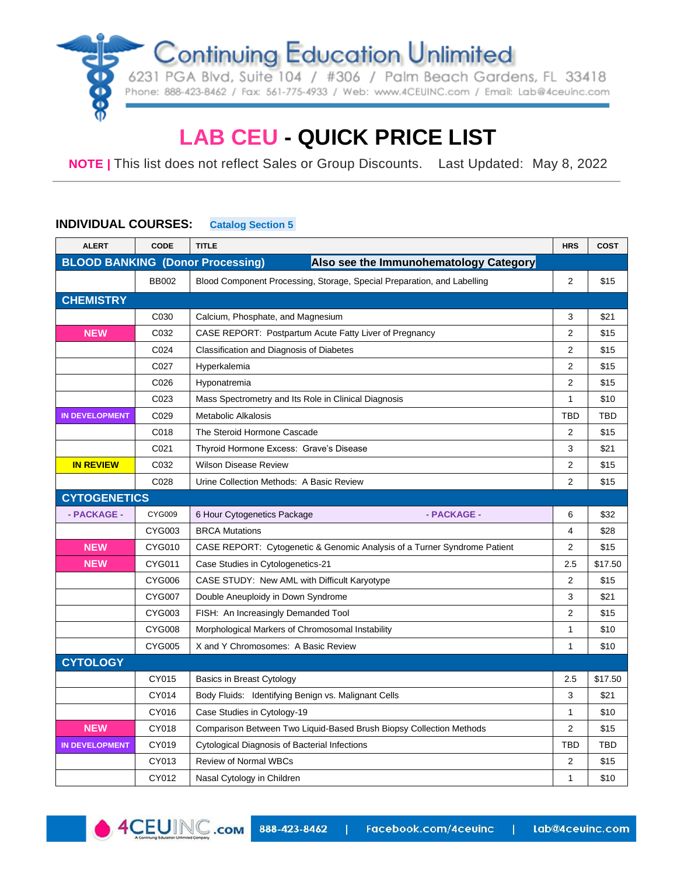6231 PGA Blvd, Suite 104 / #306 / Palm Beach Gardens, FL 33418 Phone: 888-423-8462 / Fax: 561-775-4933 / Web: www.4CEUINC.com / Email: Lab@4ceuinc.com

# **LAB CEU - QUICK PRICE LIST**

**NOTE |** This list does not reflect Sales or Group Discounts. Last Updated: May 8, 2022

### **INDIVIDUAL COURSES: Catalog Section 5.**

| <b>ALERT</b>                            | <b>CODE</b>   | <b>TITLE</b>                                                             | <b>HRS</b>     | <b>COST</b> |
|-----------------------------------------|---------------|--------------------------------------------------------------------------|----------------|-------------|
| <b>BLOOD BANKING (Donor Processing)</b> |               | Also see the Immunohematology Category                                   |                |             |
|                                         | <b>BB002</b>  | Blood Component Processing, Storage, Special Preparation, and Labelling  | $\overline{2}$ | \$15        |
| <b>CHEMISTRY</b>                        |               |                                                                          |                |             |
|                                         | C030          | Calcium, Phosphate, and Magnesium                                        | 3              | \$21        |
| <b>NEW</b>                              | C032          | CASE REPORT: Postpartum Acute Fatty Liver of Pregnancy                   | $\overline{2}$ | \$15        |
|                                         | C024          | Classification and Diagnosis of Diabetes                                 | $\overline{2}$ | \$15        |
|                                         | C027          | Hyperkalemia                                                             | $\overline{2}$ | \$15        |
|                                         | C026          | Hyponatremia                                                             | 2              | \$15        |
|                                         | C023          | Mass Spectrometry and Its Role in Clinical Diagnosis                     | $\mathbf{1}$   | \$10        |
| <b>IN DEVELOPMENT</b>                   | C029          | <b>Metabolic Alkalosis</b>                                               | <b>TBD</b>     | <b>TBD</b>  |
|                                         | C018          | The Steroid Hormone Cascade                                              | 2              | \$15        |
|                                         | C021          | Thyroid Hormone Excess: Grave's Disease                                  | 3              | \$21        |
| <b>IN REVIEW</b>                        | C032          | <b>Wilson Disease Review</b>                                             | 2              | \$15        |
|                                         | C028          | Urine Collection Methods: A Basic Review                                 | 2              | \$15        |
| <b>CYTOGENETICS</b>                     |               |                                                                          |                |             |
| - PACKAGE -                             | CYG009        | <b>PACKAGE -</b><br>6 Hour Cytogenetics Package                          | 6              | \$32        |
|                                         | CYG003        | <b>BRCA Mutations</b>                                                    | $\overline{4}$ | \$28        |
| <b>NEW</b>                              | <b>CYG010</b> | CASE REPORT: Cytogenetic & Genomic Analysis of a Turner Syndrome Patient | 2              | \$15        |
| <b>NEW</b>                              | CYG011        | Case Studies in Cytologenetics-21                                        | 2.5            | \$17.50     |
|                                         | <b>CYG006</b> | CASE STUDY: New AML with Difficult Karyotype                             | 2              | \$15        |
|                                         | <b>CYG007</b> | Double Aneuploidy in Down Syndrome                                       | 3              | \$21        |
|                                         | <b>CYG003</b> | FISH: An Increasingly Demanded Tool                                      | $\overline{2}$ | \$15        |
|                                         | <b>CYG008</b> | Morphological Markers of Chromosomal Instability                         | 1              | \$10        |
|                                         | <b>CYG005</b> | X and Y Chromosomes: A Basic Review                                      | 1              | \$10        |
| <b>CYTOLOGY</b>                         |               |                                                                          |                |             |
|                                         | CY015         | Basics in Breast Cytology                                                | 2.5            | \$17.50     |
|                                         | CY014         | Body Fluids: Identifying Benign vs. Malignant Cells                      | 3              | \$21        |
|                                         | CY016         | Case Studies in Cytology-19                                              | 1              | \$10        |
| <b>NEW</b>                              | CY018         | Comparison Between Two Liquid-Based Brush Biopsy Collection Methods      | $\overline{2}$ | \$15        |
| <b>IN DEVELOPMENT</b>                   | CY019         | Cytological Diagnosis of Bacterial Infections                            | TBD            | <b>TBD</b>  |
|                                         | CY013         | <b>Review of Normal WBCs</b>                                             | 2              | \$15        |
|                                         | CY012         | Nasal Cytology in Children                                               | 1              | \$10        |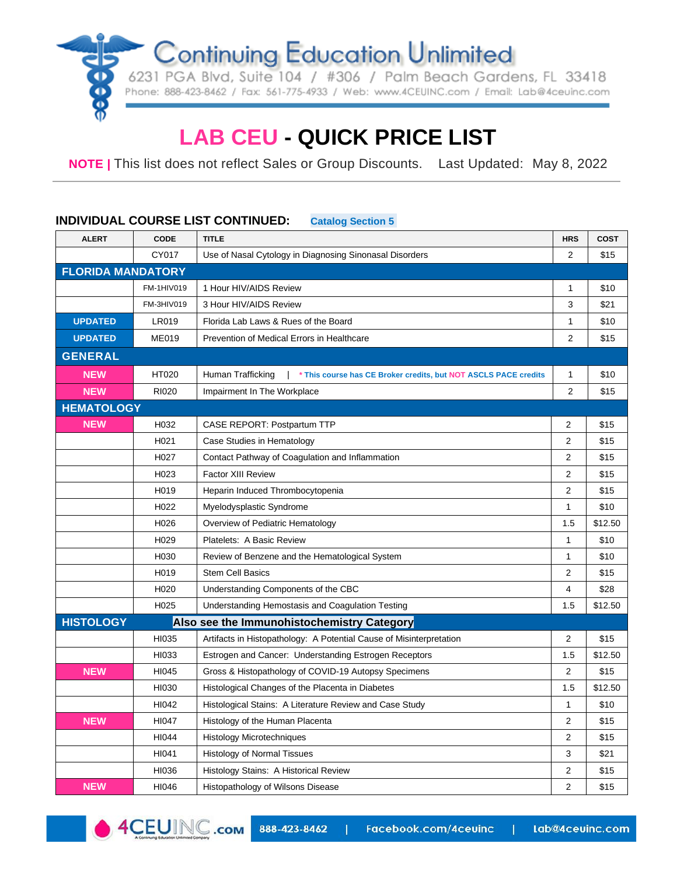6231 PGA Blvd, Suite 104 / #306 / Palm Beach Gardens, FL 33418 Phone: 888-423-8462 / Fax: 561-775-4933 / Web: www.4CEUINC.com / Email: Lab@4ceuinc.com

# **LAB CEU - QUICK PRICE LIST**

**NOTE |** This list does not reflect Sales or Group Discounts. Last Updated: May 8, 2022

#### **INDIVIDUAL COURSE LIST CONTINUED: Catalog Section 5.**

| <b>ALERT</b>             | <b>CODE</b>       | <b>TITLE</b>                                                                         | <b>HRS</b>     | <b>COST</b> |
|--------------------------|-------------------|--------------------------------------------------------------------------------------|----------------|-------------|
|                          | CY017             | Use of Nasal Cytology in Diagnosing Sinonasal Disorders                              | $\overline{2}$ | \$15        |
| <b>FLORIDA MANDATORY</b> |                   |                                                                                      |                |             |
|                          | FM-1HIV019        | 1 Hour HIV/AIDS Review                                                               | 1              | \$10        |
|                          | FM-3HIV019        | 3 Hour HIV/AIDS Review                                                               | 3              | \$21        |
| <b>UPDATED</b>           | <b>LR019</b>      | Florida Lab Laws & Rues of the Board                                                 | 1              | \$10        |
| <b>UPDATED</b>           | <b>ME019</b>      | Prevention of Medical Errors in Healthcare                                           | $\overline{2}$ | \$15        |
| <b>GENERAL</b>           |                   |                                                                                      |                |             |
| <b>NEW</b>               | HT020             | Human Trafficking<br>* This course has CE Broker credits, but NOT ASCLS PACE credits | 1              | \$10        |
| <b>NEW</b>               | <b>RI020</b>      | Impairment In The Workplace                                                          | 2              | \$15        |
| <b>HEMATOLOGY</b>        |                   |                                                                                      |                |             |
| <b>NEW</b>               | H032              | CASE REPORT: Postpartum TTP                                                          | 2              | \$15        |
|                          | H <sub>021</sub>  | Case Studies in Hematology                                                           | $\overline{2}$ | \$15        |
|                          | H027              | Contact Pathway of Coagulation and Inflammation                                      | $\overline{2}$ | \$15        |
|                          | H023              | <b>Factor XIII Review</b>                                                            | $\overline{c}$ | \$15        |
|                          | H <sub>0</sub> 19 | Heparin Induced Thrombocytopenia                                                     | $\overline{2}$ | \$15        |
|                          | H <sub>022</sub>  | Myelodysplastic Syndrome                                                             | $\mathbf{1}$   | \$10        |
|                          | H <sub>026</sub>  | Overview of Pediatric Hematology                                                     | 1.5            | \$12.50     |
|                          | H <sub>029</sub>  | Platelets: A Basic Review                                                            | 1              | \$10        |
|                          | H <sub>0</sub> 30 | Review of Benzene and the Hematological System                                       | 1              | \$10        |
|                          | H <sub>0</sub> 19 | <b>Stem Cell Basics</b>                                                              | $\overline{2}$ | \$15        |
|                          | H <sub>020</sub>  | Understanding Components of the CBC                                                  | 4              | \$28        |
|                          | H <sub>025</sub>  | Understanding Hemostasis and Coagulation Testing                                     | 1.5            | \$12.50     |
| <b>HISTOLOGY</b>         |                   | Also see the Immunohistochemistry Category                                           |                |             |
|                          | HI035             | Artifacts in Histopathology: A Potential Cause of Misinterpretation                  | 2              | \$15        |
|                          | HI033             | Estrogen and Cancer: Understanding Estrogen Receptors                                | 1.5            | \$12.50     |
| <b>NEW</b>               | HI045             | Gross & Histopathology of COVID-19 Autopsy Specimens                                 | 2              | \$15        |
|                          | HI030             | Histological Changes of the Placenta in Diabetes                                     | 1.5            | \$12.50     |
|                          | HI042             | Histological Stains: A Literature Review and Case Study                              | 1              | \$10        |
| <b>NEW</b>               | HI047             | Histology of the Human Placenta                                                      | $\overline{2}$ | \$15        |
|                          | HI044             | <b>Histology Microtechniques</b>                                                     | 2              | \$15        |
|                          | HI041             | <b>Histology of Normal Tissues</b>                                                   | 3              | \$21        |
|                          | HI036             | Histology Stains: A Historical Review                                                | $\overline{2}$ | \$15        |
| <b>NEW</b>               | HI046             | Histopathology of Wilsons Disease                                                    | $\overline{2}$ | \$15        |

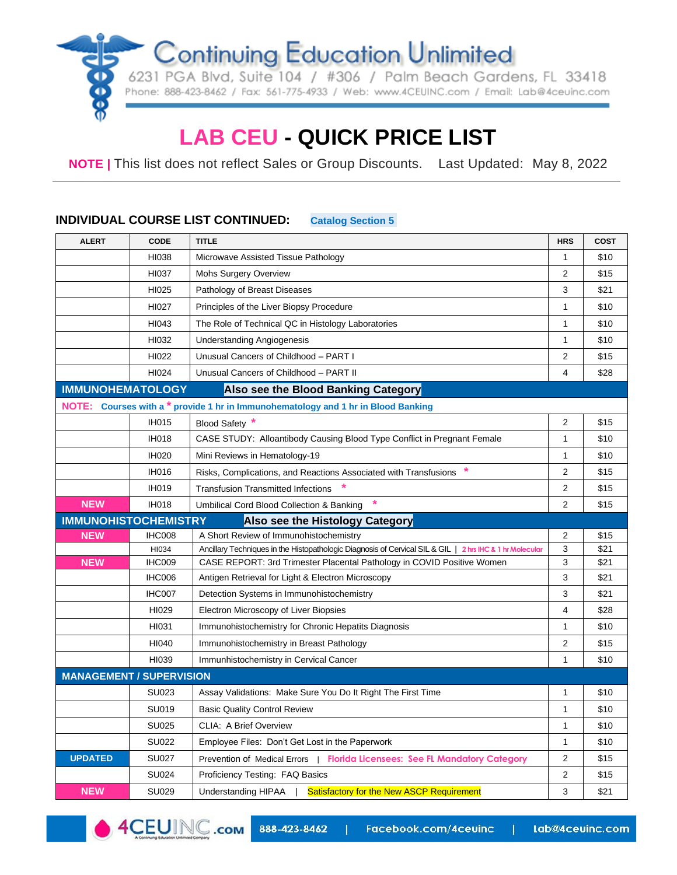6231 PGA Blvd, Suite 104 / #306 / Palm Beach Gardens, FL 33418 Phone: 888-423-8462 / Fax: 561-775-4933 / Web: www.4CEUINC.com / Email: Lab@4ceuinc.com

# **LAB CEU - QUICK PRICE LIST**

**NOTE |** This list does not reflect Sales or Group Discounts. Last Updated: May 8, 2022

#### **INDIVIDUAL COURSE LIST CONTINUED: Catalog Section 5.**

| <b>ALERT</b>                    | CODE         | <b>TITLE</b>                                                                                             | <b>HRS</b>     | <b>COST</b> |
|---------------------------------|--------------|----------------------------------------------------------------------------------------------------------|----------------|-------------|
|                                 | HI038        | Microwave Assisted Tissue Pathology                                                                      | 1              | \$10        |
|                                 | HI037        | <b>Mohs Surgery Overview</b>                                                                             | $\overline{2}$ | \$15        |
|                                 | HI025        | Pathology of Breast Diseases                                                                             | 3              | \$21        |
|                                 | HI027        | Principles of the Liver Biopsy Procedure                                                                 | 1              | \$10        |
|                                 | HI043        | The Role of Technical QC in Histology Laboratories                                                       | 1              | \$10        |
|                                 | HI032        | Understanding Angiogenesis                                                                               | 1              | \$10        |
|                                 | HI022        | Unusual Cancers of Childhood - PART I                                                                    | 2              | \$15        |
|                                 | HI024        | Unusual Cancers of Childhood - PART II                                                                   | 4              | \$28        |
| <b>IMMUNOHEMATOLOGY</b>         |              | Also see the Blood Banking Category                                                                      |                |             |
|                                 |              | NOTE: Courses with a * provide 1 hr in Immunohematology and 1 hr in Blood Banking                        |                |             |
|                                 | <b>IH015</b> | Blood Safety *                                                                                           | 2              | \$15        |
|                                 | <b>IH018</b> | CASE STUDY: Alloantibody Causing Blood Type Conflict in Pregnant Female                                  | 1              | \$10        |
|                                 | <b>IH020</b> | Mini Reviews in Hematology-19                                                                            | $\mathbf{1}$   | \$10        |
|                                 | <b>IH016</b> | Risks, Complications, and Reactions Associated with Transfusions                                         | $\overline{2}$ | \$15        |
|                                 | <b>IH019</b> | <b>Transfusion Transmitted Infections</b>                                                                | 2              | \$15        |
| <b>NEW</b>                      | <b>IH018</b> | Umbilical Cord Blood Collection & Banking                                                                | $\overline{2}$ | \$15        |
| <b>IMMUNOHISTOCHEMISTRY</b>     |              | Also see the Histology Category                                                                          |                |             |
| <b>NEW</b>                      | IHC008       | A Short Review of Immunohistochemistry                                                                   | 2              | \$15        |
|                                 | HI034        | Ancillary Techniques in the Histopathologic Diagnosis of Cervical SIL & GIL   2 hrs IHC & 1 hr Molecular | 3              | \$21        |
| <b>NEW</b>                      | IHC009       | CASE REPORT: 3rd Trimester Placental Pathology in COVID Positive Women                                   | 3              | \$21        |
|                                 | IHC006       | Antigen Retrieval for Light & Electron Microscopy                                                        | 3              | \$21        |
|                                 | IHC007       | Detection Systems in Immunohistochemistry                                                                | 3              | \$21        |
|                                 | HI029        | Electron Microscopy of Liver Biopsies                                                                    | 4              | \$28        |
|                                 | HI031        | Immunohistochemistry for Chronic Hepatits Diagnosis                                                      | 1              | \$10        |
|                                 | HI040        | Immunohistochemistry in Breast Pathology                                                                 | $\overline{2}$ | \$15        |
|                                 | HI039        | Immunhistochemistry in Cervical Cancer                                                                   | $\mathbf{1}$   | \$10        |
| <b>MANAGEMENT / SUPERVISION</b> |              |                                                                                                          |                |             |
|                                 | SU023        | Assay Validations: Make Sure You Do It Right The First Time                                              | 1              | \$10        |
|                                 | SU019        | <b>Basic Quality Control Review</b>                                                                      | 1              | \$10        |
|                                 | <b>SU025</b> | <b>CLIA: A Brief Overview</b>                                                                            | 1              | \$10        |
|                                 | <b>SU022</b> | Employee Files: Don't Get Lost in the Paperwork                                                          | $\mathbf{1}$   | \$10        |
| <b>UPDATED</b>                  | <b>SU027</b> | Prevention of Medical Errors   Florida Licensees: See FL Mandatory Category                              | 2              | \$15        |
|                                 | <b>SU024</b> | Proficiency Testing: FAQ Basics                                                                          | 2              | \$15        |
| <b>NEW</b>                      | <b>SU029</b> | <b>Satisfactory for the New ASCP Requirement</b><br><b>Understanding HIPAA</b>                           | 3              | \$21        |



 $\mathbf{L}$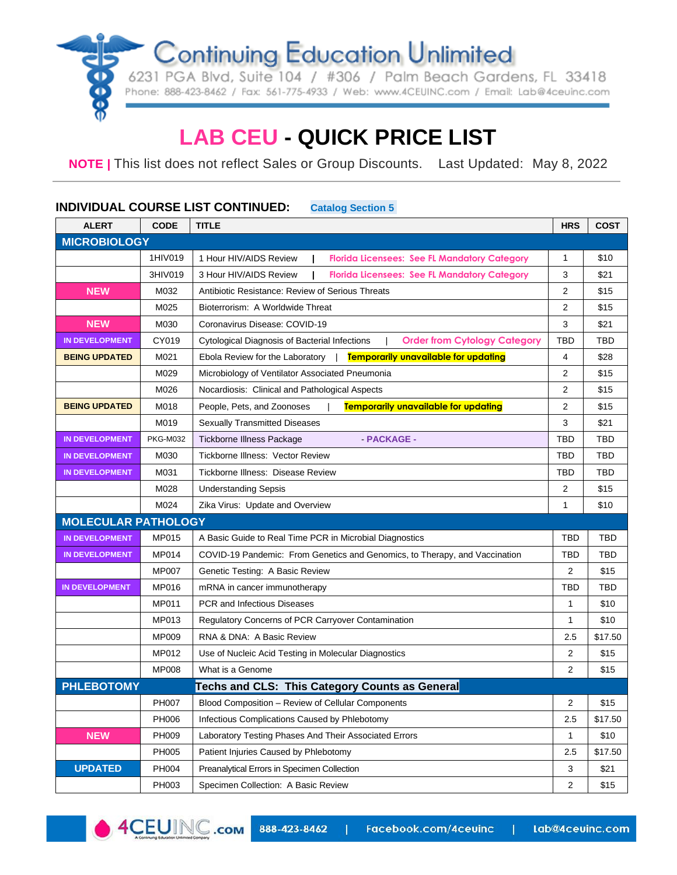6231 PGA Blvd, Suite 104 / #306 / Palm Beach Gardens, FL 33418 Phone: 888-423-8462 / Fax: 561-775-4933 / Web: www.4CEUINC.com / Email: Lab@4ceuinc.com

# **LAB CEU - QUICK PRICE LIST**

**NOTE |** This list does not reflect Sales or Group Discounts. Last Updated: May 8, 2022

### **ALERT CODE TITLE HRS COST MICROBIOLOGY** 1HIV019 1 Hour HIV/AIDS Review | Florida Licensees: See FL Mandatory Category | 1 | \$10 3HIV019 3 Hour HIV/AIDS Review | Florida Licensees: See FL Mandatory Category | 3 | \$21 **NEW** M032 Antibiotic Resistance: Review of Serious Threats **2 2** \$15 M025 Bioterrorism: A Worldwide Threat 2 \ 315 **NEW M030** Coronavirus Disease: COVID-19 3 3 321 **IN DEVELOPMENT** CY019 Cytological Diagnosis of Bacterial Infections | **Order from Cytology Category** TBD TBD **BEING UPDATED** M021 | Ebola Review for the Laboratory | **Temporarily unavailable for updating** | 4 | \$28 M029 | Microbiology of Ventilator Associated Pneumonia | 2 | \$15 M026 Nocardiosis: Clinical and Pathological Aspects 2 4 \$15 **BEING UPDATED** M018 People, Pets, and Zoonoses | **Temporarily unavailable for updating** | 2 \ \$15 M019 Sexually Transmitted Diseases 3 \$21 \$21 **IN DEVELOPMENT** PKG-M032 Tickborne Illness Package **- PACKAGE - TELL TELL TELL TBD** TBD TBD **IN DEVELOPMENT** M030 Tickborne Illness: Vector Review TBD TBD TBD TBD TBD TBD TBD **IN DEVELOPMENT** M031 Tickborne Illness: Disease Review TBD TBD TBD TBD TBD TBD M028 Understanding Sepsis 2 \$15 M024 Zika Virus: Update and Overview 1  $\vert$  1 \$10 **MOLECULAR PATHOLOGY** IN DEVELOPMENT MP015 A Basic Guide to Real Time PCR in Microbial Diagnostics TBD TBD TBD TBD **IN DEVELOPMENT** MP014 COVID-19 Pandemic: From Genetics and Genomics, to Therapy, and Vaccination TBD TBD MP007 Genetic Testing: A Basic Review 2  $\vert$  2 \ \$15 **IN DEVELOPMENT** MP016 | mRNA in cancer immunotherapy  $\Box$  TBD TBD TBD TBD TBD TBD TBD MP011 PCR and Infectious Diseases 1 \$100 and 1 \$100 and 1 \$100 and 1 \$100 and 1 \$100 and 1 \$100 and 1 \$100 and 1 \$100 and 1 \$100 and 1 \$100 and 1 \$100 and 1 \$100 and 1 \$100 and 1 \$100 and 1 \$100 and 1 \$100 and 1 \$100 and 1 MP013 Regulatory Concerns of PCR Carryover Contamination 1  $\vert$  1 \$10  $MPO09$  RNA & DNA: A Basic Review 2.5  $\frac{1}{2.5}$  \$17.50 MP012 Use of Nucleic Acid Testing in Molecular Diagnostics 2  $\vert$  2 \ \$15 MP008 What is a Genome 2 \$15 **PHLEBOTOMY Techs and CLS: This Category Counts as General** PH007 Blood Composition – Review of Cellular Components 2 4 \$15 PH006 | Infectious Complications Caused by Phlebotomy 2.5 | \$17.50 **NEW** PH009 Laboratory Testing Phases And Their Associated Errors 1 1 4 \$10 PH005 | Patient Injuries Caused by Phlebotomy 2.5 | 2.5 | \$17.50 **UPDATED** PH004 Preanalytical Errors in Specimen Collection 3 3 \$21 \$21 PH003 Specimen Collection: A Basic Review 2 \ \$15

#### **INDIVIDUAL COURSE LIST CONTINUED: Catalog Section 5.**